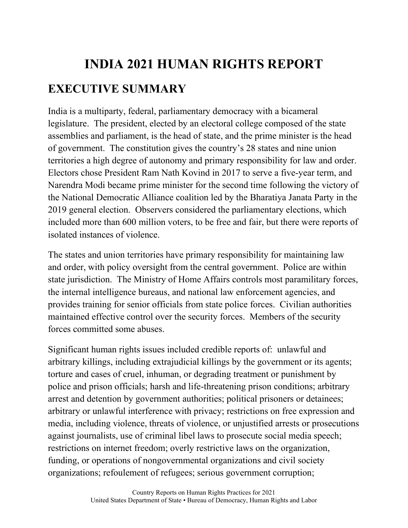## **INDIA 2021 HUMAN RIGHTS REPORT EXECUTIVE SUMMARY**

India is a multiparty, federal, parliamentary democracy with a bicameral legislature. The president, elected by an electoral college composed of the state assemblies and parliament, is the head of state, and the prime minister is the head of government. The constitution gives the country's 28 states and nine union territories a high degree of autonomy and primary responsibility for law and order. Electors chose President Ram Nath Kovind in 2017 to serve a five-year term, and Narendra Modi became prime minister for the second time following the victory of the National Democratic Alliance coalition led by the Bharatiya Janata Party in the 2019 general election. Observers considered the parliamentary elections, which included more than 600 million voters, to be free and fair, but there were reports of isolated instances of violence.

The states and union territories have primary responsibility for maintaining law and order, with policy oversight from the central government. Police are within state jurisdiction. The Ministry of Home Affairs controls most paramilitary forces, the internal intelligence bureaus, and national law enforcement agencies, and provides training for senior officials from state police forces. Civilian authorities maintained effective control over the security forces. Members of the security forces committed some abuses.

Significant human rights issues included credible reports of: unlawful and arbitrary killings, including extrajudicial killings by the government or its agents; torture and cases of cruel, inhuman, or degrading treatment or punishment by police and prison officials; harsh and life-threatening prison conditions; arbitrary arrest and detention by government authorities; political prisoners or detainees; arbitrary or unlawful interference with privacy; restrictions on free expression and media, including violence, threats of violence, or unjustified arrests or prosecutions against journalists, use of criminal libel laws to prosecute social media speech; restrictions on internet freedom; overly restrictive laws on the organization, funding, or operations of nongovernmental organizations and civil society organizations; refoulement of refugees; serious government corruption;